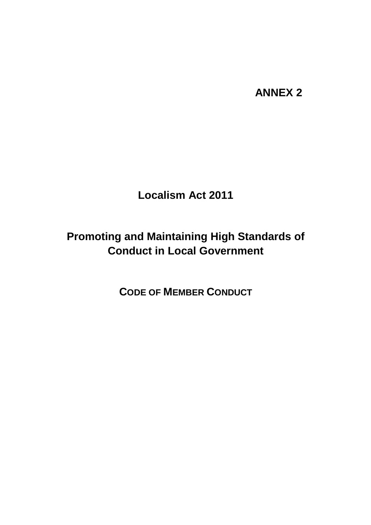# **ANNEX 2**

**Localism Act 2011**

# **Promoting and Maintaining High Standards of Conduct in Local Government**

**CODE OF MEMBER CONDUCT**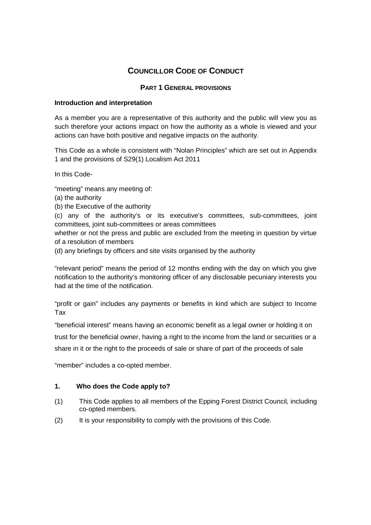# **COUNCILLOR CODE OF CONDUCT**

# **PART 1 GENERAL PROVISIONS**

# **Introduction and interpretation**

As a member you are a representative of this authority and the public will view you as such therefore your actions impact on how the authority as a whole is viewed and your actions can have both positive and negative impacts on the authority.

This Code as a whole is consistent with "Nolan Principles" which are set out in Appendix 1 and the provisions of S29(1) Localism Act 2011

In this Code-

"meeting" means any meeting of:

- (a) the authority
- (b) the Executive of the authority

(c) any of the authority's or its executive's committees, sub-committees, joint committees, joint sub-committees or areas committees

whether or not the press and public are excluded from the meeting in question by virtue of a resolution of members

(d) any briefings by officers and site visits organised by the authority

"relevant period" means the period of 12 months ending with the day on which you give notification to the authority's monitoring officer of any disclosable pecuniary interests you had at the time of the notification.

"profit or gain" includes any payments or benefits in kind which are subject to Income Tax

"beneficial interest" means having an economic benefit as a legal owner or holding it on

trust for the beneficial owner, having a right to the income from the land or securities or a

share in it or the right to the proceeds of sale or share of part of the proceeds of sale

"member" includes a co-opted member.

# **1. Who does the Code apply to?**

- (1) This Code applies to all members of the Epping Forest District Council*,* including co-opted members.
- (2) It is your responsibility to comply with the provisions of this Code.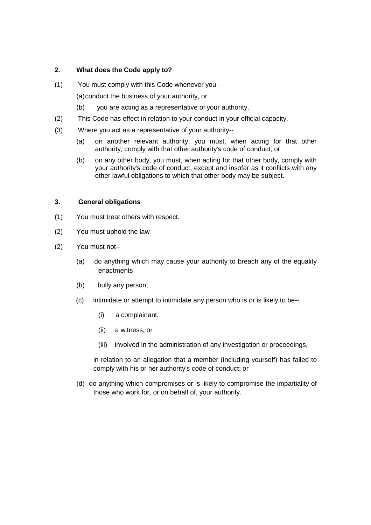#### **2. What does the Code apply to?**

(1) You must comply with this Code whenever you -

(a)conduct the business of your authority, or

- (b) you are acting as a representative of your authority,
- (2) This Code has effect in relation to your conduct in your official capacity.
- (3) Where you act as a representative of your authority--
	- (a) on another relevant authority, you must, when acting for that other authority, comply with that other authority's code of conduct; or
	- (b) on any other body, you must, when acting for that other body, comply with your authority's code of conduct, except and insofar as it conflicts with any other lawful obligations to which that other body may be subject.

#### **3. General obligations**

- (1) You must treat others with respect.
- (2) You must uphold the law
- (2) You must not--
	- (a) do anything which may cause your authority to breach any of the equality enactments
	- (b) bully any person;
	- (c) intimidate or attempt to intimidate any person who is or is likely to be--
		- (i) a complainant,
		- (ii) a witness, or
		- (iii) involved in the administration of any investigation or proceedings,

in relation to an allegation that a member (including yourself) has failed to comply with his or her authority's code of conduct; or

(d) do anything which compromises or is likely to compromise the impartiality of those who work for, or on behalf of, your authority.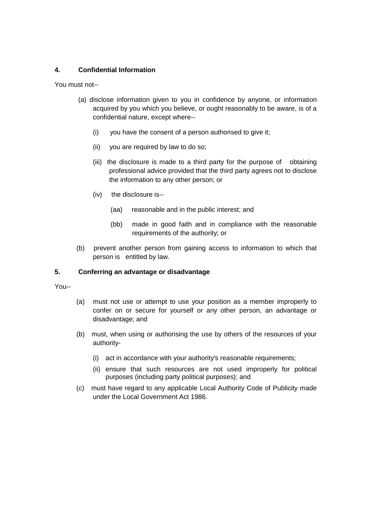# **4. Confidential Information**

You must not--

- (a) disclose information given to you in confidence by anyone, or information acquired by you which you believe, or ought reasonably to be aware, is of a confidential nature, except where--
	- (i) you have the consent of a person authorised to give it;
	- (ii) you are required by law to do so;
	- (iii) the disclosure is made to a third party for the purpose of obtaining professional advice provided that the third party agrees not to disclose the information to any other person; or
	- (iv) the disclosure is--
		- (aa) reasonable and in the public interest; and
		- (bb) made in good faith and in compliance with the reasonable requirements of the authority; or
- (b) prevent another person from gaining access to information to which that person is entitled by law.

# **5. Conferring an advantage or disadvantage**

You--

- (a) must not use or attempt to use your position as a member improperly to confer on or secure for yourself or any other person, an advantage or disadvantage; and
- (b) must, when using or authorising the use by others of the resources of your authority-
	- (i) act in accordance with your authority's reasonable requirements;
	- (ii) ensure that such resources are not used improperly for political purposes (including party political purposes); and
- (c) must have regard to any applicable Local Authority Code of Publicity made under the Local Government Act 1986.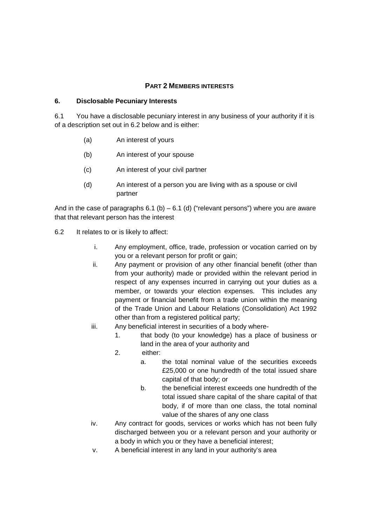#### **PART 2 MEMBERS INTERESTS**

#### **6. Disclosable Pecuniary Interests**

6.1 You have a disclosable pecuniary interest in any business of your authority if it is of a description set out in 6.2 below and is either:

- (a) An interest of yours
- (b) An interest of your spouse
- (c) An interest of your civil partner
- (d) An interest of a person you are living with as a spouse or civil partner

And in the case of paragraphs  $6.1$  (b) –  $6.1$  (d) ("relevant persons") where you are aware that that relevant person has the interest

- 6.2 It relates to or is likely to affect:
	- i. Any employment, office, trade, profession or vocation carried on by you or a relevant person for profit or gain;
	- ii. Any payment or provision of any other financial benefit (other than from your authority) made or provided within the relevant period in respect of any expenses incurred in carrying out your duties as a member, or towards your election expenses. This includes any payment or financial benefit from a trade union within the meaning of the Trade Union and Labour Relations (Consolidation) Act 1992 other than from a registered political party;
	- iii. Any beneficial interest in securities of a body where-
		- 1. that body (to your knowledge) has a place of business or land in the area of your authority and
		- 2. either:
			- a. the total nominal value of the securities exceeds £25,000 or one hundredth of the total issued share capital of that body; or
			- b. the beneficial interest exceeds one hundredth of the total issued share capital of the share capital of that body, if of more than one class, the total nominal value of the shares of any one class
	- iv. Any contract for goods, services or works which has not been fully discharged between you or a relevant person and your authority or a body in which you or they have a beneficial interest;
	- v. A beneficial interest in any land in your authority's area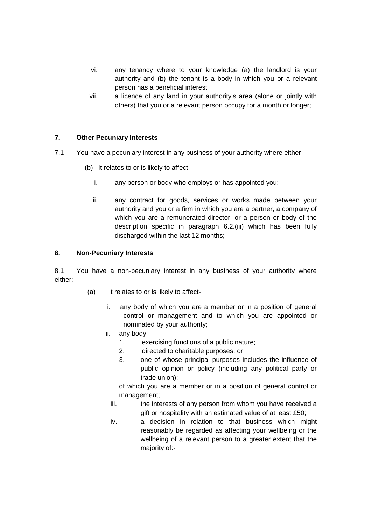- vi. any tenancy where to your knowledge (a) the landlord is your authority and (b) the tenant is a body in which you or a relevant person has a beneficial interest
- vii. a licence of any land in your authority's area (alone or jointly with others) that you or a relevant person occupy for a month or longer;

# **7. Other Pecuniary Interests**

- 7.1 You have a pecuniary interest in any business of your authority where either-
	- (b) It relates to or is likely to affect:
		- i. any person or body who employs or has appointed you;
		- ii. any contract for goods, services or works made between your authority and you or a firm in which you are a partner, a company of which you are a remunerated director, or a person or body of the description specific in paragraph 6.2.(iii) which has been fully discharged within the last 12 months;

#### **8. Non-Pecuniary Interests**

8.1 You have a non-pecuniary interest in any business of your authority where either:-

- (a) it relates to or is likely to affect
	- i. any body of which you are a member or in a position of general control or management and to which you are appointed or nominated by your authority;
	- ii. any body-
		- 1. exercising functions of a public nature;
		- 2. directed to charitable purposes; or
		- 3. one of whose principal purposes includes the influence of public opinion or policy (including any political party or trade union);

of which you are a member or in a position of general control or management;

- iii. the interests of any person from whom you have received a gift or hospitality with an estimated value of at least £50;
- iv. a decision in relation to that business which might reasonably be regarded as affecting your wellbeing or the wellbeing of a relevant person to a greater extent that the majority of:-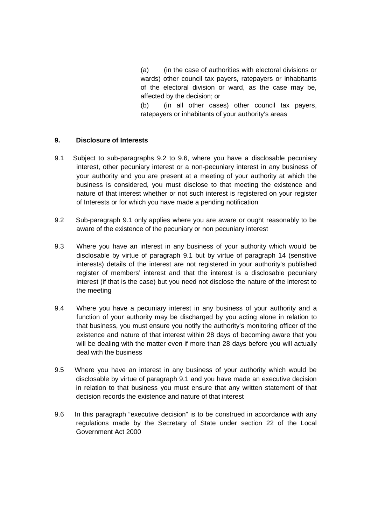(a) (in the case of authorities with electoral divisions or wards) other council tax payers, ratepayers or inhabitants of the electoral division or ward, as the case may be, affected by the decision; or

(b) (in all other cases) other council tax payers, ratepayers or inhabitants of your authority's areas

#### **9. Disclosure of Interests**

- 9.1 Subject to sub-paragraphs 9.2 to 9.6, where you have a disclosable pecuniary interest, other pecuniary interest or a non-pecuniary interest in any business of your authority and you are present at a meeting of your authority at which the business is considered, you must disclose to that meeting the existence and nature of that interest whether or not such interest is registered on your register of Interests or for which you have made a pending notification
- 9.2 Sub-paragraph 9.1 only applies where you are aware or ought reasonably to be aware of the existence of the pecuniary or non pecuniary interest
- 9.3 Where you have an interest in any business of your authority which would be disclosable by virtue of paragraph 9.1 but by virtue of paragraph 14 (sensitive interests) details of the interest are not registered in your authority's published register of members' interest and that the interest is a disclosable pecuniary interest (if that is the case) but you need not disclose the nature of the interest to the meeting
- 9.4 Where you have a pecuniary interest in any business of your authority and a function of your authority may be discharged by you acting alone in relation to that business, you must ensure you notify the authority's monitoring officer of the existence and nature of that interest within 28 days of becoming aware that you will be dealing with the matter even if more than 28 days before you will actually deal with the business
- 9.5 Where you have an interest in any business of your authority which would be disclosable by virtue of paragraph 9.1 and you have made an executive decision in relation to that business you must ensure that any written statement of that decision records the existence and nature of that interest
- 9.6 In this paragraph "executive decision" is to be construed in accordance with any regulations made by the Secretary of State under section 22 of the Local Government Act 2000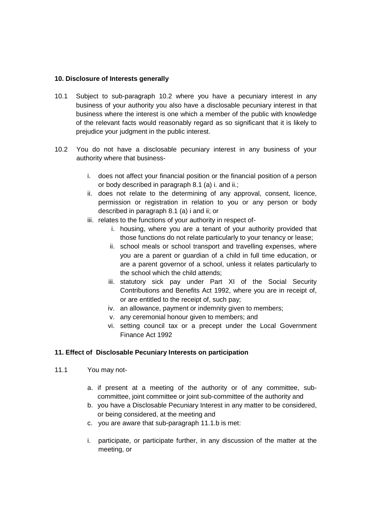#### **10. Disclosure of Interests generally**

- 10.1 Subject to sub-paragraph 10.2 where you have a pecuniary interest in any business of your authority you also have a disclosable pecuniary interest in that business where the interest is one which a member of the public with knowledge of the relevant facts would reasonably regard as so significant that it is likely to prejudice your judgment in the public interest.
- 10.2 You do not have a disclosable pecuniary interest in any business of your authority where that business
	- i. does not affect your financial position or the financial position of a person or body described in paragraph 8.1 (a) i. and ii.;
	- ii. does not relate to the determining of any approval, consent, licence, permission or registration in relation to you or any person or body described in paragraph 8.1 (a) i and ii; or
	- iii. relates to the functions of your authority in respect of
		- i. housing, where you are a tenant of your authority provided that those functions do not relate particularly to your tenancy or lease;
		- ii. school meals or school transport and travelling expenses, where you are a parent or guardian of a child in full time education, or are a parent governor of a school, unless it relates particularly to the school which the child attends;
		- iii. statutory sick pay under Part XI of the Social Security Contributions and Benefits Act 1992, where you are in receipt of, or are entitled to the receipt of, such pay;
		- iv. an allowance, payment or indemnity given to members;
		- v. any ceremonial honour given to members; and
		- vi. setting council tax or a precept under the Local Government Finance Act 1992

# **11. Effect of Disclosable Pecuniary Interests on participation**

- 11.1 You may not
	- a. if present at a meeting of the authority or of any committee, subcommittee, joint committee or joint sub-committee of the authority and
	- b. you have a Disclosable Pecuniary Interest in any matter to be considered, or being considered, at the meeting and
	- c. you are aware that sub-paragraph 11.1.b is met:
	- i. participate, or participate further, in any discussion of the matter at the meeting, or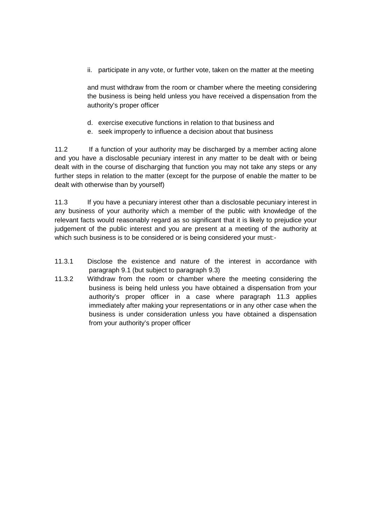ii. participate in any vote, or further vote, taken on the matter at the meeting

and must withdraw from the room or chamber where the meeting considering the business is being held unless you have received a dispensation from the authority's proper officer

- d. exercise executive functions in relation to that business and
- e. seek improperly to influence a decision about that business

11.2 If a function of your authority may be discharged by a member acting alone and you have a disclosable pecuniary interest in any matter to be dealt with or being dealt with in the course of discharging that function you may not take any steps or any further steps in relation to the matter (except for the purpose of enable the matter to be dealt with otherwise than by yourself)

11.3 If you have a pecuniary interest other than a disclosable pecuniary interest in any business of your authority which a member of the public with knowledge of the relevant facts would reasonably regard as so significant that it is likely to prejudice your judgement of the public interest and you are present at a meeting of the authority at which such business is to be considered or is being considered your must:-

- 11.3.1 Disclose the existence and nature of the interest in accordance with paragraph 9.1 (but subject to paragraph 9.3)
- 11.3.2 Withdraw from the room or chamber where the meeting considering the business is being held unless you have obtained a dispensation from your authority's proper officer in a case where paragraph 11.3 applies immediately after making your representations or in any other case when the business is under consideration unless you have obtained a dispensation from your authority's proper officer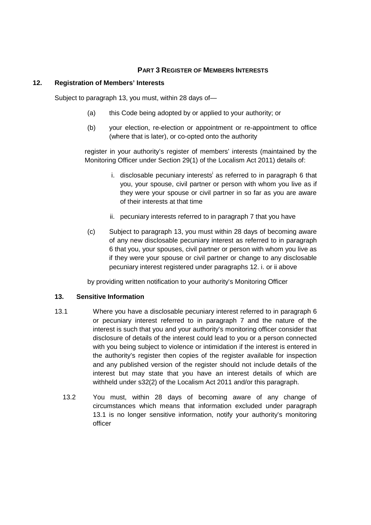# **PART 3 REGISTER OF MEMBERS INTERESTS**

#### **12. Registration of Members' Interests**

Subject to paragraph 13, you must, within 28 days of—

- (a) this Code being adopted by or applied to your authority; or
- (b) your election, re-election or appointment or re-appointment to office (where that is later), or co-opted onto the authority

register in your authority's register of members' interests (maintained by the Monitoring Officer under Section 29(1) of the Localism Act 2011) details of:

- i. disclosable pecuniary interests as referred to in paragraph 6 that you, your spouse, civil partner or person with whom you live as if they were your spouse or civil partner in so far as you are aware of their interests at that time
- ii. pecuniary interests referred to in paragraph 7 that you have
- (c) Subject to paragraph 13, you must within 28 days of becoming aware of any new disclosable pecuniary interest as referred to in paragraph 6 that you, your spouses, civil partner or person with whom you live as if they were your spouse or civil partner or change to any disclosable pecuniary interest registered under paragraphs 12. i. or ii above

by providing written notification to your authority's Monitoring Officer

#### **13. Sensitive Information**

- 13.1 Where you have a disclosable pecuniary interest referred to in paragraph 6 or pecuniary interest referred to in paragraph 7 and the nature of the interest is such that you and your authority's monitoring officer consider that disclosure of details of the interest could lead to you or a person connected with you being subject to violence or intimidation if the interest is entered in the authority's register then copies of the register available for inspection and any published version of the register should not include details of the interest but may state that you have an interest details of which are withheld under s32(2) of the Localism Act 2011 and/or this paragraph.
	- 13.2 You must, within 28 days of becoming aware of any change of circumstances which means that information excluded under paragraph 13.1 is no longer sensitive information, notify your authority's monitoring officer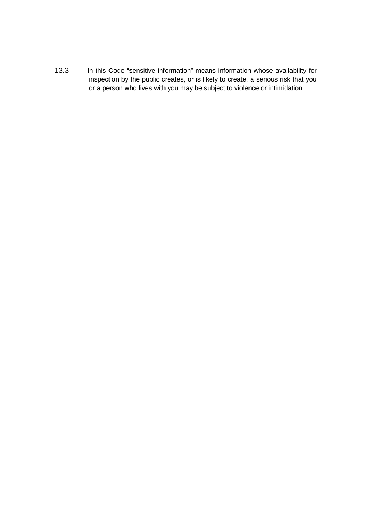13.3 In this Code "sensitive information" means information whose availability for inspection by the public creates, or is likely to create, a serious risk that you or a person who lives with you may be subject to violence or intimidation.